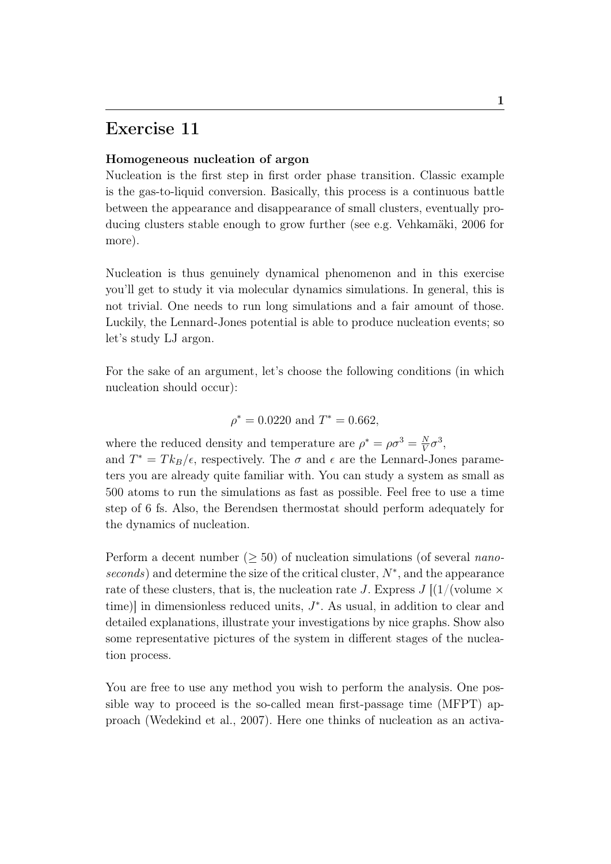## Exercise 11

## Homogeneous nucleation of argon

Nucleation is the first step in first order phase transition. Classic example is the gas-to-liquid conversion. Basically, this process is a continuous battle between the appearance and disappearance of small clusters, eventually producing clusters stable enough to grow further (see e.g. Vehkamäki, 2006 for more).

Nucleation is thus genuinely dynamical phenomenon and in this exercise you'll get to study it via molecular dynamics simulations. In general, this is not trivial. One needs to run long simulations and a fair amount of those. Luckily, the Lennard-Jones potential is able to produce nucleation events; so let's study LJ argon.

For the sake of an argument, let's choose the following conditions (in which nucleation should occur):

$$
\rho^* = 0.0220 \text{ and } T^* = 0.662,
$$

where the reduced density and temperature are  $\rho^* = \rho \sigma^3 = \frac{N}{V}$  $\frac{N}{V}\sigma^3$ ,

and  $T^* = T k_B / \epsilon$ , respectively. The  $\sigma$  and  $\epsilon$  are the Lennard-Jones parameters you are already quite familiar with. You can study a system as small as 500 atoms to run the simulations as fast as possible. Feel free to use a time step of 6 fs. Also, the Berendsen thermostat should perform adequately for the dynamics of nucleation.

Perform a decent number ( $> 50$ ) of nucleation simulations (of several *nano*seconds) and determine the size of the critical cluster,  $N^*$ , and the appearance rate of these clusters, that is, the nucleation rate J. Express  $J$  [(1/(volume  $\times$ time) in dimensionless reduced units,  $J^*$ . As usual, in addition to clear and detailed explanations, illustrate your investigations by nice graphs. Show also some representative pictures of the system in different stages of the nucleation process.

You are free to use any method you wish to perform the analysis. One possible way to proceed is the so-called mean first-passage time (MFPT) approach (Wedekind et al., 2007). Here one thinks of nucleation as an activa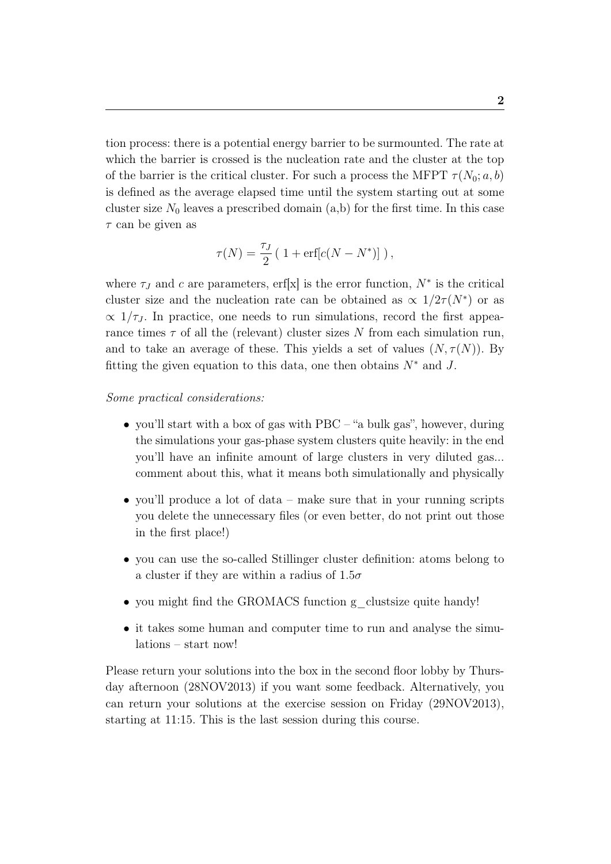tion process: there is a potential energy barrier to be surmounted. The rate at which the barrier is crossed is the nucleation rate and the cluster at the top of the barrier is the critical cluster. For such a process the MFPT  $\tau(N_0; a, b)$ is defined as the average elapsed time until the system starting out at some cluster size  $N_0$  leaves a prescribed domain  $(a,b)$  for the first time. In this case  $\tau$  can be given as

$$
\tau(N) = \frac{\tau_J}{2} \left( 1 + \text{erf}[c(N - N^*)] \right),
$$

where  $\tau_J$  and c are parameters, erf[x] is the error function,  $N^*$  is the critical cluster size and the nucleation rate can be obtained as  $\propto 1/2\tau(N^*)$  or as  $\propto 1/\tau_J$ . In practice, one needs to run simulations, record the first appearance times  $\tau$  of all the (relevant) cluster sizes N from each simulation run, and to take an average of these. This yields a set of values  $(N, \tau(N))$ . By fitting the given equation to this data, one then obtains  $N^*$  and J.

## Some practical considerations:

- you'll start with a box of gas with PBC "a bulk gas", however, during the simulations your gas-phase system clusters quite heavily: in the end you'll have an infinite amount of large clusters in very diluted gas... comment about this, what it means both simulationally and physically
- you'll produce a lot of data make sure that in your running scripts you delete the unnecessary files (or even better, do not print out those in the first place!)
- you can use the so-called Stillinger cluster definition: atoms belong to a cluster if they are within a radius of  $1.5\sigma$
- you might find the GROMACS function g\_clustsize quite handy!
- it takes some human and computer time to run and analyse the simulations – start now!

Please return your solutions into the box in the second floor lobby by Thursday afternoon (28NOV2013) if you want some feedback. Alternatively, you can return your solutions at the exercise session on Friday (29NOV2013), starting at 11:15. This is the last session during this course.